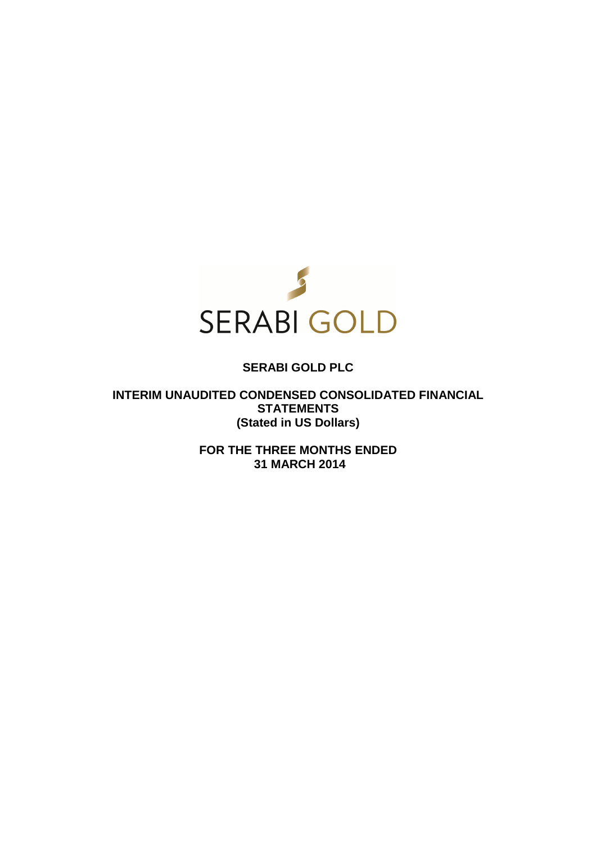

# **SERABI GOLD PLC**

**INTERIM UNAUDITED CONDENSED CONSOLIDATED FINANCIAL STATEMENTS (Stated in US Dollars)** 

> **FOR THE THREE MONTHS ENDED 31 MARCH 2014**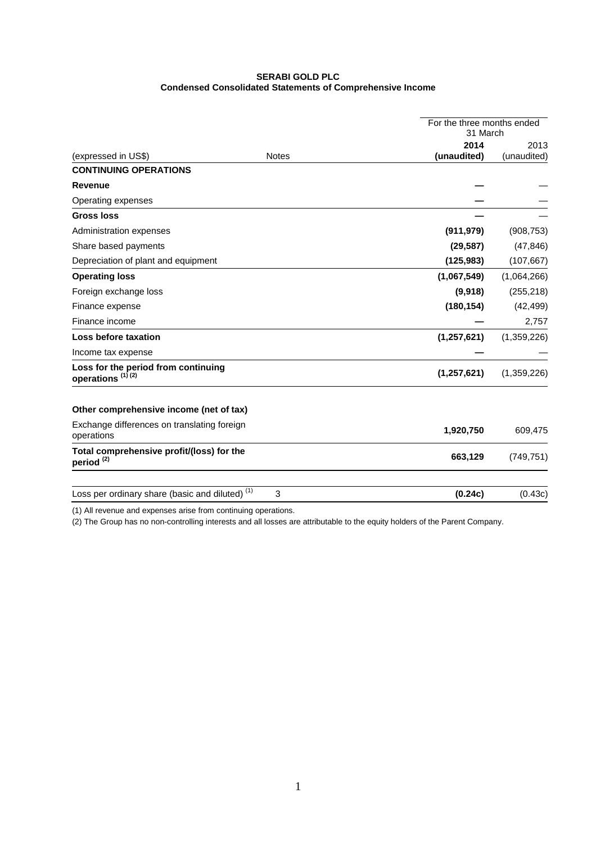# **SERABI GOLD PLC Condensed Consolidated Statements of Comprehensive Income**

|                                                                     |              | For the three months ended<br>31 March |             |
|---------------------------------------------------------------------|--------------|----------------------------------------|-------------|
|                                                                     |              | 2014                                   | 2013        |
| (expressed in US\$)                                                 | <b>Notes</b> | (unaudited)                            | (unaudited) |
| <b>CONTINUING OPERATIONS</b>                                        |              |                                        |             |
| <b>Revenue</b>                                                      |              |                                        |             |
| Operating expenses                                                  |              |                                        |             |
| <b>Gross loss</b>                                                   |              |                                        |             |
| Administration expenses                                             |              | (911, 979)                             | (908, 753)  |
| Share based payments                                                |              | (29, 587)                              | (47, 846)   |
| Depreciation of plant and equipment                                 |              | (125, 983)                             | (107, 667)  |
| <b>Operating loss</b>                                               |              | (1,067,549)                            | (1,064,266) |
| Foreign exchange loss                                               |              | (9,918)                                | (255, 218)  |
| Finance expense                                                     |              | (180, 154)                             | (42, 499)   |
| Finance income                                                      |              |                                        | 2,757       |
| Loss before taxation                                                |              | (1, 257, 621)                          | (1,359,226) |
| Income tax expense                                                  |              |                                        |             |
| Loss for the period from continuing<br>operations <sup>(1)(2)</sup> |              | (1, 257, 621)                          | (1,359,226) |
| Other comprehensive income (net of tax)                             |              |                                        |             |
| Exchange differences on translating foreign<br>operations           |              | 1,920,750                              | 609,475     |
| Total comprehensive profit/(loss) for the<br>period <sup>(2)</sup>  |              | 663,129                                | (749, 751)  |
| Loss per ordinary share (basic and diluted) <sup>(1)</sup>          | 3            | (0.24c)                                | (0.43c)     |

(1) All revenue and expenses arise from continuing operations.

(2) The Group has no non-controlling interests and all losses are attributable to the equity holders of the Parent Company.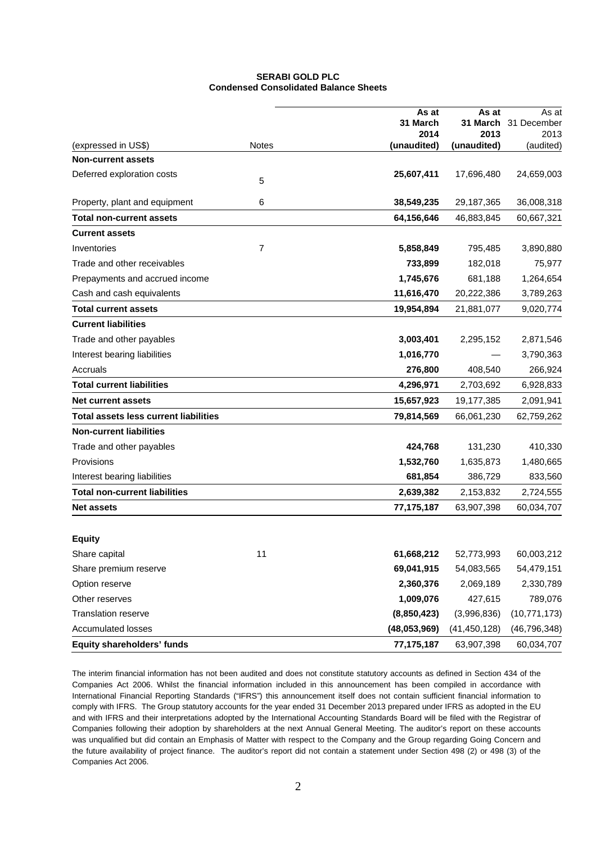# **SERABI GOLD PLC Condensed Consolidated Balance Sheets**

|                                              |              | As at        | As at          | As at          |
|----------------------------------------------|--------------|--------------|----------------|----------------|
|                                              |              | 31 March     | 31 March       | 31 December    |
|                                              |              | 2014         | 2013           | 2013           |
| (expressed in US\$)                          | <b>Notes</b> | (unaudited)  | (unaudited)    | (audited)      |
| <b>Non-current assets</b>                    |              |              |                |                |
| Deferred exploration costs                   | 5            | 25,607,411   | 17,696,480     | 24,659,003     |
| Property, plant and equipment                | 6            | 38,549,235   | 29,187,365     | 36,008,318     |
| <b>Total non-current assets</b>              |              | 64,156,646   | 46,883,845     | 60,667,321     |
| <b>Current assets</b>                        |              |              |                |                |
| Inventories                                  | 7            | 5,858,849    | 795,485        | 3,890,880      |
| Trade and other receivables                  |              | 733,899      | 182,018        | 75,977         |
| Prepayments and accrued income               |              | 1,745,676    | 681,188        | 1,264,654      |
| Cash and cash equivalents                    |              | 11,616,470   | 20,222,386     | 3,789,263      |
| <b>Total current assets</b>                  |              | 19,954,894   | 21,881,077     | 9,020,774      |
| <b>Current liabilities</b>                   |              |              |                |                |
| Trade and other payables                     |              | 3,003,401    | 2,295,152      | 2,871,546      |
| Interest bearing liabilities                 |              | 1,016,770    |                | 3,790,363      |
| Accruals                                     |              | 276,800      | 408,540        | 266,924        |
| <b>Total current liabilities</b>             |              | 4,296,971    | 2,703,692      | 6,928,833      |
| <b>Net current assets</b>                    |              | 15,657,923   | 19,177,385     | 2,091,941      |
| <b>Total assets less current liabilities</b> |              | 79,814,569   | 66,061,230     | 62,759,262     |
| <b>Non-current liabilities</b>               |              |              |                |                |
| Trade and other payables                     |              | 424,768      | 131,230        | 410,330        |
| Provisions                                   |              | 1,532,760    | 1,635,873      | 1,480,665      |
| Interest bearing liabilities                 |              | 681,854      | 386,729        | 833,560        |
| <b>Total non-current liabilities</b>         |              | 2,639,382    | 2,153,832      | 2,724,555      |
| <b>Net assets</b>                            |              | 77, 175, 187 | 63,907,398     | 60,034,707     |
|                                              |              |              |                |                |
| <b>Equity</b>                                |              |              |                |                |
| Share capital                                | 11           | 61,668,212   | 52,773,993     | 60,003,212     |
| Share premium reserve                        |              | 69,041,915   | 54,083,565     | 54,479,151     |
| Option reserve                               |              | 2,360,376    | 2,069,189      | 2,330,789      |
| Other reserves                               |              | 1,009,076    | 427,615        | 789,076        |
| Translation reserve                          |              | (8,850,423)  | (3,996,836)    | (10, 771, 173) |
| <b>Accumulated losses</b>                    |              | (48,053,969) | (41, 450, 128) | (46, 796, 348) |
| <b>Equity shareholders' funds</b>            |              | 77, 175, 187 | 63,907,398     | 60,034,707     |

The interim financial information has not been audited and does not constitute statutory accounts as defined in Section 434 of the Companies Act 2006. Whilst the financial information included in this announcement has been compiled in accordance with International Financial Reporting Standards ("IFRS") this announcement itself does not contain sufficient financial information to comply with IFRS. The Group statutory accounts for the year ended 31 December 2013 prepared under IFRS as adopted in the EU and with IFRS and their interpretations adopted by the International Accounting Standards Board will be filed with the Registrar of Companies following their adoption by shareholders at the next Annual General Meeting. The auditor's report on these accounts was unqualified but did contain an Emphasis of Matter with respect to the Company and the Group regarding Going Concern and the future availability of project finance. The auditor's report did not contain a statement under Section 498 (2) or 498 (3) of the Companies Act 2006.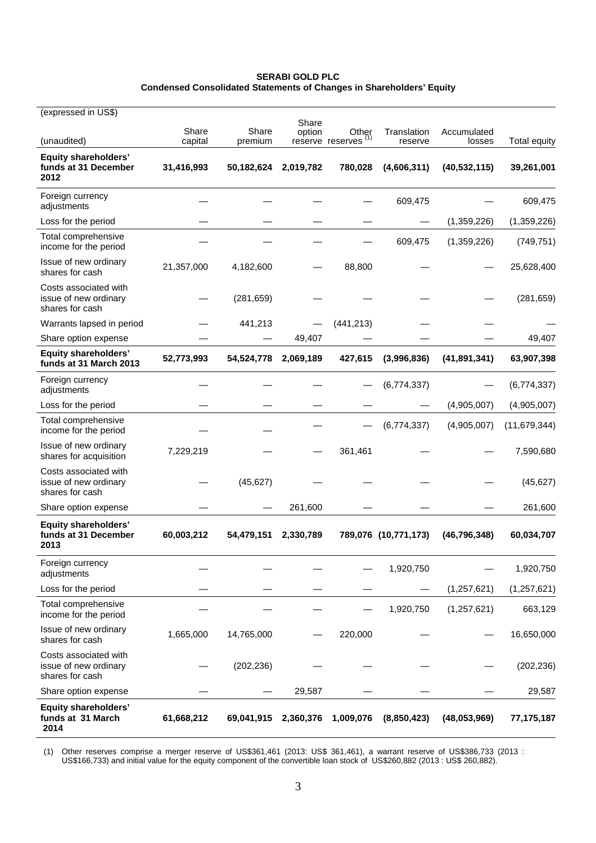# **SERABI GOLD PLC Condensed Consolidated Statements of Changes in Shareholders' Equity**

| (expressed in US\$)                                               |                  |                  |                 |                           |                        |                       |                     |
|-------------------------------------------------------------------|------------------|------------------|-----------------|---------------------------|------------------------|-----------------------|---------------------|
| (unaudited)                                                       | Share<br>capital | Share<br>premium | Share<br>option | Other<br>reserve reserves | Translation<br>reserve | Accumulated<br>losses | <b>Total equity</b> |
| <b>Equity shareholders'</b><br>funds at 31 December<br>2012       | 31,416,993       | 50,182,624       | 2,019,782       | 780,028                   | (4,606,311)            | (40, 532, 115)        | 39,261,001          |
| Foreign currency<br>adjustments                                   |                  |                  |                 |                           | 609,475                |                       | 609,475             |
| Loss for the period                                               |                  |                  |                 |                           |                        | (1,359,226)           | (1,359,226)         |
| Total comprehensive<br>income for the period                      |                  |                  |                 |                           | 609,475                | (1,359,226)           | (749, 751)          |
| Issue of new ordinary<br>shares for cash                          | 21,357,000       | 4,182,600        |                 | 88,800                    |                        |                       | 25,628,400          |
| Costs associated with<br>issue of new ordinary<br>shares for cash |                  | (281, 659)       |                 |                           |                        |                       | (281, 659)          |
| Warrants lapsed in period                                         |                  | 441,213          |                 | (441, 213)                |                        |                       |                     |
| Share option expense                                              |                  |                  | 49,407          |                           |                        |                       | 49,407              |
| <b>Equity shareholders'</b><br>funds at 31 March 2013             | 52,773,993       | 54,524,778       | 2,069,189       | 427,615                   | (3,996,836)            | (41, 891, 341)        | 63,907,398          |
| Foreign currency<br>adjustments                                   |                  |                  |                 |                           | (6,774,337)            |                       | (6,774,337)         |
| Loss for the period                                               |                  |                  |                 |                           |                        | (4,905,007)           | (4,905,007)         |
| Total comprehensive<br>income for the period                      |                  |                  |                 |                           | (6,774,337)            | (4,905,007)           | (11, 679, 344)      |
| Issue of new ordinary<br>shares for acquisition                   | 7,229,219        |                  |                 | 361,461                   |                        |                       | 7,590,680           |
| Costs associated with<br>issue of new ordinary<br>shares for cash |                  | (45, 627)        |                 |                           |                        |                       | (45, 627)           |
| Share option expense                                              |                  |                  | 261,600         |                           |                        |                       | 261,600             |
| <b>Equity shareholders'</b><br>funds at 31 December<br>2013       | 60,003,212       | 54,479,151       | 2,330,789       |                           | 789,076 (10,771,173)   | (46, 796, 348)        | 60,034,707          |
| Foreign currency<br>adjustments                                   |                  |                  |                 |                           | 1,920,750              |                       | 1,920,750           |
| Loss for the period                                               |                  |                  |                 |                           |                        | (1, 257, 621)         | (1, 257, 621)       |
| Total comprehensive<br>income for the period                      |                  |                  |                 |                           | 1,920,750              | (1, 257, 621)         | 663,129             |
| Issue of new ordinary<br>shares for cash                          | 1,665,000        | 14,765,000       |                 | 220,000                   |                        |                       | 16,650,000          |
| Costs associated with<br>issue of new ordinary<br>shares for cash |                  | (202, 236)       |                 |                           |                        |                       | (202, 236)          |
| Share option expense                                              |                  |                  | 29,587          |                           |                        |                       | 29,587              |
| <b>Equity shareholders'</b><br>funds at 31 March<br>2014          | 61,668,212       | 69,041,915       | 2,360,376       | 1,009,076                 | (8,850,423)            | (48,053,969)          | 77,175,187          |

(1) Other reserves comprise a merger reserve of US\$361,461 (2013: US\$ 361,461), a warrant reserve of US\$386,733 (2013 : US\$166,733) and initial value for the equity component of the convertible loan stock of US\$260,882 (2013 : US\$ 260,882).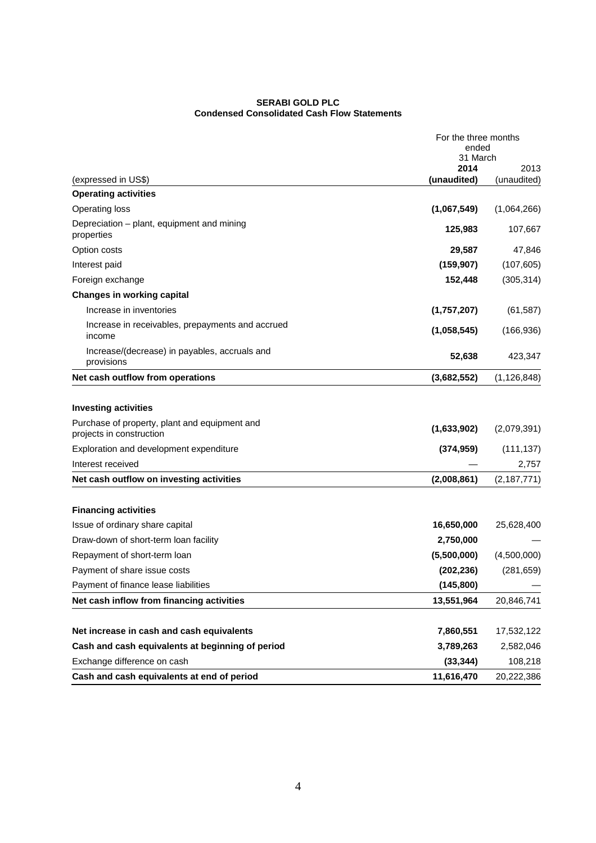# **SERABI GOLD PLC Condensed Consolidated Cash Flow Statements**

|                                                                                                                                                     | For the three months<br>ended<br>31 March |                           |
|-----------------------------------------------------------------------------------------------------------------------------------------------------|-------------------------------------------|---------------------------|
| (expressed in US\$)                                                                                                                                 | 2014<br>(unaudited)                       | 2013<br>(unaudited)       |
| <b>Operating activities</b>                                                                                                                         |                                           |                           |
| <b>Operating loss</b>                                                                                                                               | (1,067,549)                               | (1,064,266)               |
| Depreciation – plant, equipment and mining<br>properties                                                                                            | 125,983                                   | 107,667                   |
| Option costs                                                                                                                                        | 29,587                                    | 47,846                    |
| Interest paid                                                                                                                                       | (159, 907)                                | (107, 605)                |
| Foreign exchange                                                                                                                                    | 152,448                                   | (305, 314)                |
| <b>Changes in working capital</b>                                                                                                                   |                                           |                           |
| Increase in inventories                                                                                                                             | (1,757,207)                               | (61, 587)                 |
| Increase in receivables, prepayments and accrued<br>income                                                                                          | (1,058,545)                               | (166, 936)                |
| Increase/(decrease) in payables, accruals and<br>provisions                                                                                         | 52,638                                    | 423,347                   |
| Net cash outflow from operations                                                                                                                    | (3,682,552)                               | (1, 126, 848)             |
| <b>Investing activities</b><br>Purchase of property, plant and equipment and<br>projects in construction<br>Exploration and development expenditure | (1,633,902)<br>(374, 959)                 | (2,079,391)<br>(111, 137) |
| Interest received                                                                                                                                   |                                           | 2,757                     |
| Net cash outflow on investing activities                                                                                                            | (2,008,861)                               | (2, 187, 771)             |
| <b>Financing activities</b>                                                                                                                         |                                           |                           |
| Issue of ordinary share capital                                                                                                                     | 16,650,000                                | 25,628,400                |
| Draw-down of short-term loan facility                                                                                                               | 2,750,000                                 |                           |
| Repayment of short-term loan                                                                                                                        | (5,500,000)                               | (4,500,000)               |
| Payment of share issue costs                                                                                                                        | (202, 236)                                | (281, 659)                |
| Payment of finance lease liabilities                                                                                                                | (145, 800)                                |                           |
| Net cash inflow from financing activities                                                                                                           | 13,551,964                                | 20,846,741                |
| Net increase in cash and cash equivalents                                                                                                           | 7,860,551                                 | 17,532,122                |
| Cash and cash equivalents at beginning of period                                                                                                    | 3,789,263                                 | 2,582,046                 |
| Exchange difference on cash                                                                                                                         | (33, 344)                                 | 108,218                   |
| Cash and cash equivalents at end of period                                                                                                          | 11,616,470                                | 20,222,386                |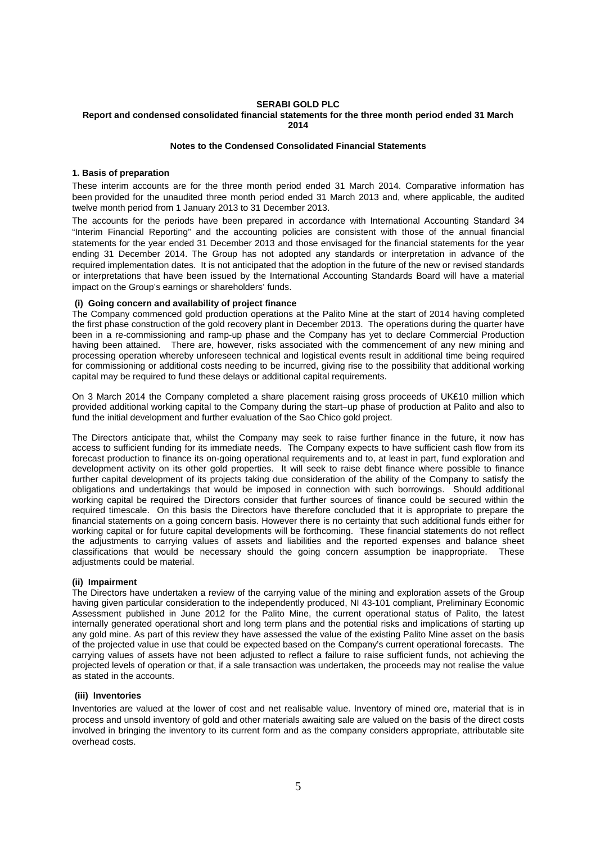# **SERABI GOLD PLC**

#### **Report and condensed consolidated financial statements for the three month period ended 31 March 2014**

#### **Notes to the Condensed Consolidated Financial Statements**

### **1. Basis of preparation**

These interim accounts are for the three month period ended 31 March 2014. Comparative information has been provided for the unaudited three month period ended 31 March 2013 and, where applicable, the audited twelve month period from 1 January 2013 to 31 December 2013.

The accounts for the periods have been prepared in accordance with International Accounting Standard 34 "Interim Financial Reporting" and the accounting policies are consistent with those of the annual financial statements for the year ended 31 December 2013 and those envisaged for the financial statements for the year ending 31 December 2014. The Group has not adopted any standards or interpretation in advance of the required implementation dates. It is not anticipated that the adoption in the future of the new or revised standards or interpretations that have been issued by the International Accounting Standards Board will have a material impact on the Group's earnings or shareholders' funds.

### **(i) Going concern and availability of project finance**

The Company commenced gold production operations at the Palito Mine at the start of 2014 having completed the first phase construction of the gold recovery plant in December 2013. The operations during the quarter have been in a re-commissioning and ramp-up phase and the Company has yet to declare Commercial Production having been attained. There are, however, risks associated with the commencement of any new mining and processing operation whereby unforeseen technical and logistical events result in additional time being required for commissioning or additional costs needing to be incurred, giving rise to the possibility that additional working capital may be required to fund these delays or additional capital requirements.

On 3 March 2014 the Company completed a share placement raising gross proceeds of UK£10 million which provided additional working capital to the Company during the start–up phase of production at Palito and also to fund the initial development and further evaluation of the Sao Chico gold project.

The Directors anticipate that, whilst the Company may seek to raise further finance in the future, it now has access to sufficient funding for its immediate needs. The Company expects to have sufficient cash flow from its forecast production to finance its on-going operational requirements and to, at least in part, fund exploration and development activity on its other gold properties. It will seek to raise debt finance where possible to finance further capital development of its projects taking due consideration of the ability of the Company to satisfy the obligations and undertakings that would be imposed in connection with such borrowings. Should additional working capital be required the Directors consider that further sources of finance could be secured within the required timescale. On this basis the Directors have therefore concluded that it is appropriate to prepare the financial statements on a going concern basis. However there is no certainty that such additional funds either for working capital or for future capital developments will be forthcoming. These financial statements do not reflect the adjustments to carrying values of assets and liabilities and the reported expenses and balance sheet classifications that would be necessary should the going concern assumption be inappropriate. These adjustments could be material.

# **(ii) Impairment**

The Directors have undertaken a review of the carrying value of the mining and exploration assets of the Group having given particular consideration to the independently produced, NI 43-101 compliant, Preliminary Economic Assessment published in June 2012 for the Palito Mine, the current operational status of Palito, the latest internally generated operational short and long term plans and the potential risks and implications of starting up any gold mine. As part of this review they have assessed the value of the existing Palito Mine asset on the basis of the projected value in use that could be expected based on the Company's current operational forecasts. The carrying values of assets have not been adjusted to reflect a failure to raise sufficient funds, not achieving the projected levels of operation or that, if a sale transaction was undertaken, the proceeds may not realise the value as stated in the accounts.

### **(iii) Inventories**

Inventories are valued at the lower of cost and net realisable value. Inventory of mined ore, material that is in process and unsold inventory of gold and other materials awaiting sale are valued on the basis of the direct costs involved in bringing the inventory to its current form and as the company considers appropriate, attributable site overhead costs.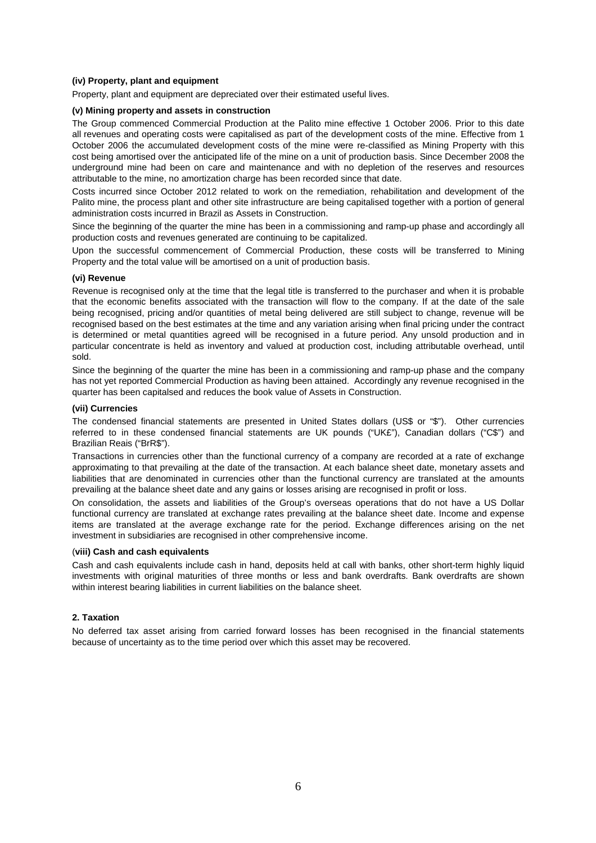### **(iv) Property, plant and equipment**

Property, plant and equipment are depreciated over their estimated useful lives.

# **(v) Mining property and assets in construction**

The Group commenced Commercial Production at the Palito mine effective 1 October 2006. Prior to this date all revenues and operating costs were capitalised as part of the development costs of the mine. Effective from 1 October 2006 the accumulated development costs of the mine were re-classified as Mining Property with this cost being amortised over the anticipated life of the mine on a unit of production basis. Since December 2008 the underground mine had been on care and maintenance and with no depletion of the reserves and resources attributable to the mine, no amortization charge has been recorded since that date.

Costs incurred since October 2012 related to work on the remediation, rehabilitation and development of the Palito mine, the process plant and other site infrastructure are being capitalised together with a portion of general administration costs incurred in Brazil as Assets in Construction.

Since the beginning of the quarter the mine has been in a commissioning and ramp-up phase and accordingly all production costs and revenues generated are continuing to be capitalized.

Upon the successful commencement of Commercial Production, these costs will be transferred to Mining Property and the total value will be amortised on a unit of production basis.

# **(vi) Revenue**

Revenue is recognised only at the time that the legal title is transferred to the purchaser and when it is probable that the economic benefits associated with the transaction will flow to the company. If at the date of the sale being recognised, pricing and/or quantities of metal being delivered are still subject to change, revenue will be recognised based on the best estimates at the time and any variation arising when final pricing under the contract is determined or metal quantities agreed will be recognised in a future period. Any unsold production and in particular concentrate is held as inventory and valued at production cost, including attributable overhead, until sold.

Since the beginning of the quarter the mine has been in a commissioning and ramp-up phase and the company has not yet reported Commercial Production as having been attained. Accordingly any revenue recognised in the quarter has been capitalsed and reduces the book value of Assets in Construction.

### **(vii) Currencies**

The condensed financial statements are presented in United States dollars (US\$ or "\$"). Other currencies referred to in these condensed financial statements are UK pounds ("UK£"), Canadian dollars ("C\$") and Brazilian Reais ("BrR\$").

Transactions in currencies other than the functional currency of a company are recorded at a rate of exchange approximating to that prevailing at the date of the transaction. At each balance sheet date, monetary assets and liabilities that are denominated in currencies other than the functional currency are translated at the amounts prevailing at the balance sheet date and any gains or losses arising are recognised in profit or loss.

On consolidation, the assets and liabilities of the Group's overseas operations that do not have a US Dollar functional currency are translated at exchange rates prevailing at the balance sheet date. Income and expense items are translated at the average exchange rate for the period. Exchange differences arising on the net investment in subsidiaries are recognised in other comprehensive income.

### (**viii) Cash and cash equivalents**

Cash and cash equivalents include cash in hand, deposits held at call with banks, other short-term highly liquid investments with original maturities of three months or less and bank overdrafts. Bank overdrafts are shown within interest bearing liabilities in current liabilities on the balance sheet.

# **2. Taxation**

No deferred tax asset arising from carried forward losses has been recognised in the financial statements because of uncertainty as to the time period over which this asset may be recovered.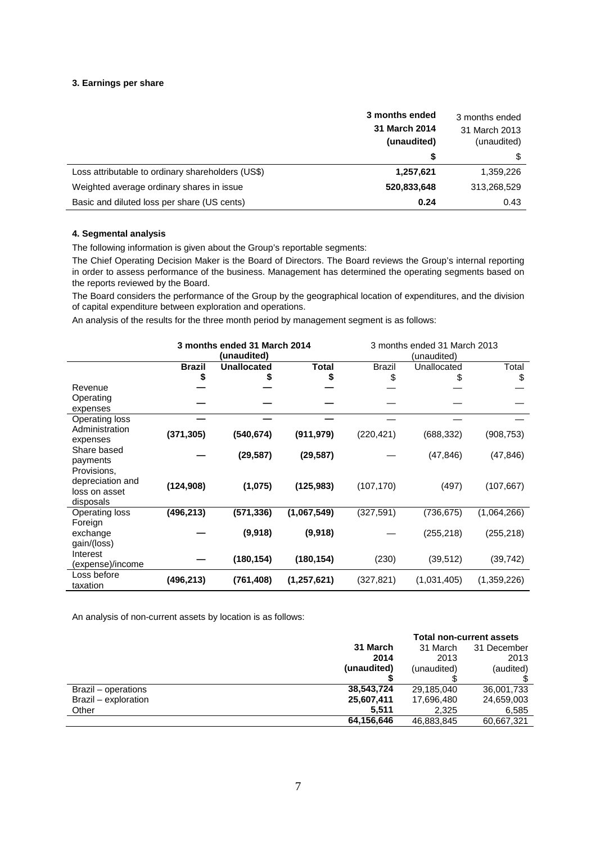# **3. Earnings per share**

|                                                   | 3 months ended<br>31 March 2014<br>(unaudited) | 3 months ended<br>31 March 2013<br>(unaudited) |
|---------------------------------------------------|------------------------------------------------|------------------------------------------------|
|                                                   | \$                                             | \$                                             |
| Loss attributable to ordinary shareholders (US\$) | 1,257,621                                      | 1,359,226                                      |
| Weighted average ordinary shares in issue         | 520,833,648                                    | 313,268,529                                    |
| Basic and diluted loss per share (US cents)       | 0.24                                           | 0.43                                           |

# **4. Segmental analysis**

÷.

The following information is given about the Group's reportable segments:

The Chief Operating Decision Maker is the Board of Directors. The Board reviews the Group's internal reporting in order to assess performance of the business. Management has determined the operating segments based on the reports reviewed by the Board.

The Board considers the performance of the Group by the geographical location of expenditures, and the division of capital expenditure between exploration and operations.

An analysis of the results for the three month period by management segment is as follows:

| 3 months ended 31 March 2014 |               | 3 months ended 31 March 2013 |             |               |             |             |
|------------------------------|---------------|------------------------------|-------------|---------------|-------------|-------------|
|                              |               | (unaudited)                  |             |               | (unaudited) |             |
|                              | <b>Brazil</b> | <b>Unallocated</b>           | Total       | <b>Brazil</b> | Unallocated | Total       |
|                              | \$            | \$                           | \$          | \$            |             | \$          |
| Revenue                      |               |                              |             |               |             |             |
| Operating                    |               |                              |             |               |             |             |
| expenses                     |               |                              |             |               |             |             |
| <b>Operating loss</b>        |               |                              |             |               |             |             |
| Administration               | (371, 305)    | (540, 674)                   | (911, 979)  | (220, 421)    | (688, 332)  | (908, 753)  |
| expenses                     |               |                              |             |               |             |             |
| Share based                  |               | (29, 587)                    | (29, 587)   |               | (47, 846)   | (47, 846)   |
| payments                     |               |                              |             |               |             |             |
| Provisions,                  |               |                              |             |               |             |             |
| depreciation and             | (124, 908)    | (1,075)                      | (125, 983)  | (107, 170)    | (497)       | (107, 667)  |
| loss on asset                |               |                              |             |               |             |             |
| disposals                    |               |                              |             |               |             |             |
| Operating loss               | (496, 213)    | (571, 336)                   | (1,067,549) | (327, 591)    | (736, 675)  | (1,064,266) |
| Foreign                      |               |                              |             |               |             |             |
| exchange                     |               | (9,918)                      | (9,918)     |               | (255, 218)  | (255, 218)  |
| gain/(loss)                  |               |                              |             |               |             |             |
| Interest                     |               | (180, 154)                   | (180, 154)  | (230)         | (39, 512)   | (39,742)    |
| (expense)/income             |               |                              |             |               |             |             |
| Loss before                  | (496, 213)    | (761, 408)                   | (1,257,621) | (327, 821)    | (1,031,405) | (1,359,226) |
| taxation                     |               |                              |             |               |             |             |

An analysis of non-current assets by location is as follows:

|                      |             | <b>Total non-current assets</b> |             |  |
|----------------------|-------------|---------------------------------|-------------|--|
|                      | 31 March    | 31 March                        | 31 December |  |
|                      | 2014        | 2013                            | 2013        |  |
|                      | (unaudited) | (unaudited)                     | (audited)   |  |
|                      |             |                                 |             |  |
| Brazil – operations  | 38,543,724  | 29.185.040                      | 36,001,733  |  |
| Brazil - exploration | 25,607,411  | 17,696,480                      | 24,659,003  |  |
| Other                | 5.511       | 2.325                           | 6,585       |  |
|                      | 64,156,646  | 46.883.845                      | 60,667,321  |  |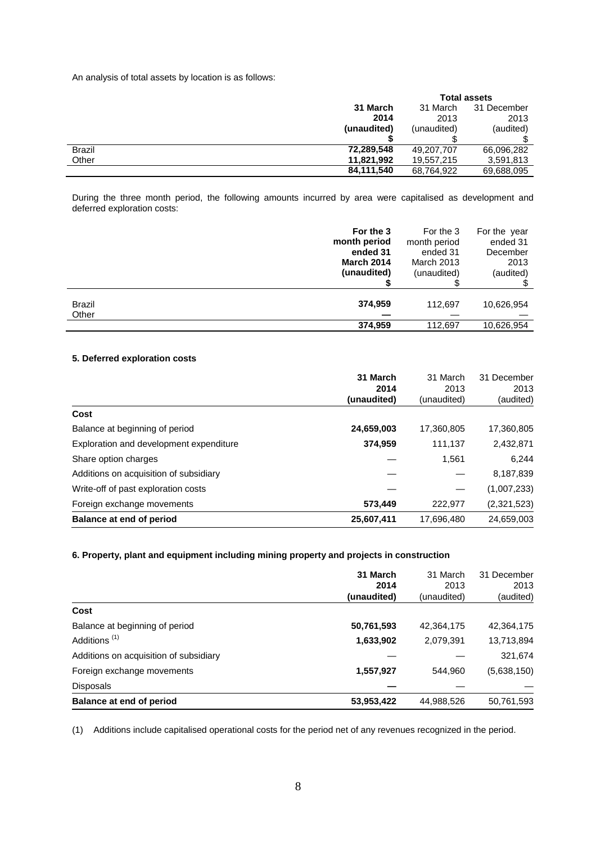An analysis of total assets by location is as follows:

|               |             | <b>Total assets</b> |             |  |
|---------------|-------------|---------------------|-------------|--|
|               | 31 March    | 31 March            | 31 December |  |
|               | 2014        | 2013                | 2013        |  |
|               | (unaudited) | (unaudited)         | (audited)   |  |
|               |             |                     |             |  |
| <b>Brazil</b> | 72,289,548  | 49,207,707          | 66,096,282  |  |
| Other         | 11,821,992  | 19,557,215          | 3,591,813   |  |
|               | 84,111,540  | 68,764,922          | 69,688,095  |  |

During the three month period, the following amounts incurred by area were capitalised as development and deferred exploration costs:

|        | For the 3         | For the 3         | For the year |
|--------|-------------------|-------------------|--------------|
|        | month period      | month period      | ended 31     |
|        | ended 31          | ended 31          | December     |
|        | <b>March 2014</b> | <b>March 2013</b> | 2013         |
|        | (unaudited)       | (unaudited)       | (audited)    |
| Brazil | 374,959           | 112,697           | 10,626,954   |
| Other  | 374,959           | 112,697           | 10,626,954   |

# **5. Deferred exploration costs**

|                                         | 31 March    | 31 March    | 31 December |
|-----------------------------------------|-------------|-------------|-------------|
|                                         | 2014        | 2013        | 2013        |
|                                         | (unaudited) | (unaudited) | (audited)   |
| Cost                                    |             |             |             |
| Balance at beginning of period          | 24,659,003  | 17,360,805  | 17,360,805  |
| Exploration and development expenditure | 374,959     | 111,137     | 2,432,871   |
| Share option charges                    |             | 1,561       | 6,244       |
| Additions on acquisition of subsidiary  |             |             | 8,187,839   |
| Write-off of past exploration costs     |             |             | (1,007,233) |
| Foreign exchange movements              | 573,449     | 222,977     | (2,321,523) |
| Balance at end of period                | 25,607,411  | 17,696,480  | 24,659,003  |

# **6. Property, plant and equipment including mining property and projects in construction**

|                                        | 31 March<br>2014<br>(unaudited) | 31 March<br>2013<br>(unaudited) | 31 December<br>2013 |
|----------------------------------------|---------------------------------|---------------------------------|---------------------|
| Cost                                   |                                 |                                 | (audited)           |
| Balance at beginning of period         | 50,761,593                      | 42,364,175                      | 42,364,175          |
| Additions <sup>(1)</sup>               | 1,633,902                       | 2,079,391                       | 13,713,894          |
| Additions on acquisition of subsidiary |                                 |                                 | 321,674             |
| Foreign exchange movements             | 1,557,927                       | 544.960                         | (5,638,150)         |
| <b>Disposals</b>                       |                                 |                                 |                     |
| Balance at end of period               | 53,953,422                      | 44,988,526                      | 50,761,593          |

(1) Additions include capitalised operational costs for the period net of any revenues recognized in the period.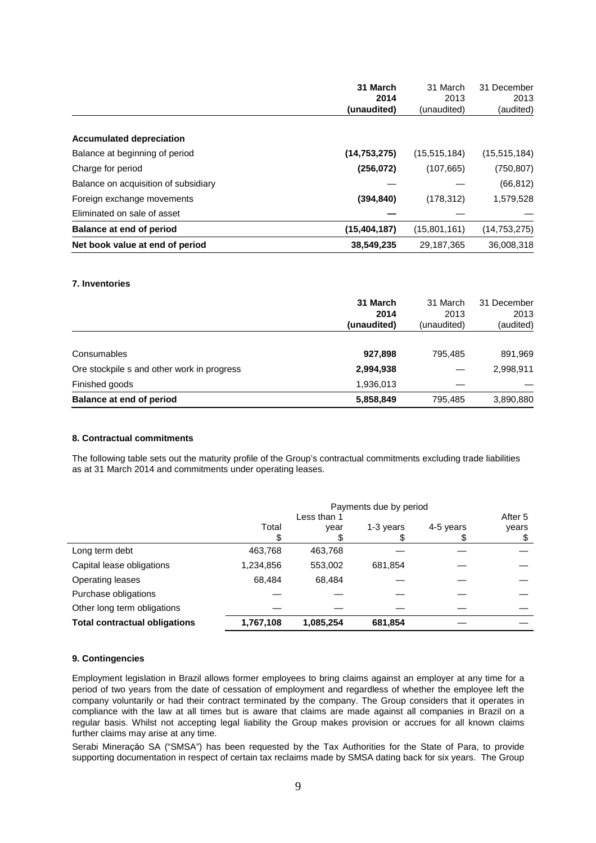|                                      | 31 March       | 31 March       | 31 December    |
|--------------------------------------|----------------|----------------|----------------|
|                                      | 2014           | 2013           | 2013           |
|                                      | (unaudited)    | (unaudited)    | (audited)      |
|                                      |                |                |                |
| <b>Accumulated depreciation</b>      |                |                |                |
| Balance at beginning of period       | (14.753.275)   | (15, 515, 184) | (15, 515, 184) |
| Charge for period                    | (256, 072)     | (107, 665)     | (750, 807)     |
| Balance on acquisition of subsidiary |                |                | (66, 812)      |
| Foreign exchange movements           | (394, 840)     | (178, 312)     | 1,579,528      |
| Eliminated on sale of asset          |                |                |                |
| Balance at end of period             | (15, 404, 187) | (15,801,161)   | (14, 753, 275) |
| Net book value at end of period      | 38,549,235     | 29,187,365     | 36,008,318     |

#### **7. Inventories**

|                                            | 31 March<br>2014<br>(unaudited) | 31 March<br>2013<br>(unaudited) | 31 December<br>2013<br>(audited) |
|--------------------------------------------|---------------------------------|---------------------------------|----------------------------------|
|                                            |                                 |                                 |                                  |
| Consumables                                | 927,898                         | 795.485                         | 891,969                          |
| Ore stockpile s and other work in progress | 2,994,938                       |                                 | 2,998,911                        |
| Finished goods                             | 1,936,013                       |                                 |                                  |
| Balance at end of period                   | 5,858,849                       | 795,485                         | 3,890,880                        |

#### **8. Contractual commitments**

The following table sets out the maturity profile of the Group's contractual commitments excluding trade liabilities as at 31 March 2014 and commitments under operating leases.

|                                      | Payments due by period |           |           |           |       |
|--------------------------------------|------------------------|-----------|-----------|-----------|-------|
|                                      | Less than 1            |           |           | After 5   |       |
|                                      | Total                  | year      | 1-3 years | 4-5 years | years |
|                                      |                        |           |           |           | \$    |
| Long term debt                       | 463,768                | 463,768   |           |           |       |
| Capital lease obligations            | 1,234,856              | 553,002   | 681,854   |           |       |
| Operating leases                     | 68.484                 | 68.484    |           |           |       |
| Purchase obligations                 |                        |           |           |           |       |
| Other long term obligations          |                        |           |           |           |       |
| <b>Total contractual obligations</b> | 1,767,108              | 1,085,254 | 681,854   |           |       |

### **9. Contingencies**

Employment legislation in Brazil allows former employees to bring claims against an employer at any time for a period of two years from the date of cessation of employment and regardless of whether the employee left the company voluntarily or had their contract terminated by the company. The Group considers that it operates in compliance with the law at all times but is aware that claims are made against all companies in Brazil on a regular basis. Whilst not accepting legal liability the Group makes provision or accrues for all known claims further claims may arise at any time.

Serabi Mineraçăo SA ("SMSA") has been requested by the Tax Authorities for the State of Para, to provide supporting documentation in respect of certain tax reclaims made by SMSA dating back for six years. The Group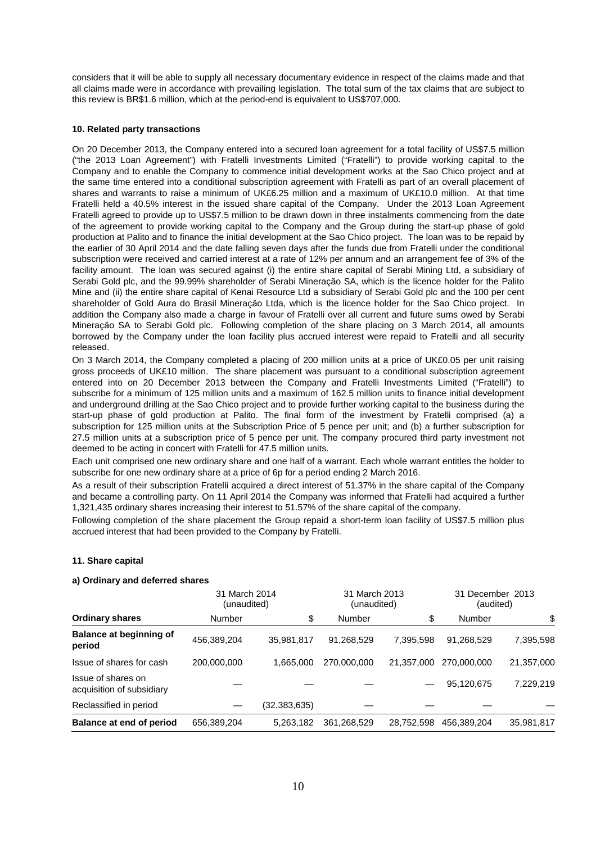considers that it will be able to supply all necessary documentary evidence in respect of the claims made and that all claims made were in accordance with prevailing legislation. The total sum of the tax claims that are subject to this review is BR\$1.6 million, which at the period-end is equivalent to US\$707,000.

### **10. Related party transactions**

On 20 December 2013, the Company entered into a secured loan agreement for a total facility of US\$7.5 million ("the 2013 Loan Agreement") with Fratelli Investments Limited ("Fratelli") to provide working capital to the Company and to enable the Company to commence initial development works at the Sao Chico project and at the same time entered into a conditional subscription agreement with Fratelli as part of an overall placement of shares and warrants to raise a minimum of UK£6.25 million and a maximum of UK£10.0 million. At that time Fratelli held a 40.5% interest in the issued share capital of the Company. Under the 2013 Loan Agreement Fratelli agreed to provide up to US\$7.5 million to be drawn down in three instalments commencing from the date of the agreement to provide working capital to the Company and the Group during the start-up phase of gold production at Palito and to finance the initial development at the Sao Chico project. The loan was to be repaid by the earlier of 30 April 2014 and the date falling seven days after the funds due from Fratelli under the conditional subscription were received and carried interest at a rate of 12% per annum and an arrangement fee of 3% of the facility amount. The loan was secured against (i) the entire share capital of Serabi Mining Ltd, a subsidiary of Serabi Gold plc, and the 99.99% shareholder of Serabi Mineraçăo SA, which is the licence holder for the Palito Mine and (ii) the entire share capital of Kenai Resource Ltd a subsidiary of Serabi Gold plc and the 100 per cent shareholder of Gold Aura do Brasil Mineraçăo Ltda, which is the licence holder for the Sao Chico project. In addition the Company also made a charge in favour of Fratelli over all current and future sums owed by Serabi Mineraçăo SA to Serabi Gold plc. Following completion of the share placing on 3 March 2014, all amounts borrowed by the Company under the loan facility plus accrued interest were repaid to Fratelli and all security released.

On 3 March 2014, the Company completed a placing of 200 million units at a price of UK£0.05 per unit raising gross proceeds of UK£10 million. The share placement was pursuant to a conditional subscription agreement entered into on 20 December 2013 between the Company and Fratelli Investments Limited ("Fratelli") to subscribe for a minimum of 125 million units and a maximum of 162.5 million units to finance initial development and underground drilling at the Sao Chico project and to provide further working capital to the business during the start-up phase of gold production at Palito. The final form of the investment by Fratelli comprised (a) a subscription for 125 million units at the Subscription Price of 5 pence per unit; and (b) a further subscription for 27.5 million units at a subscription price of 5 pence per unit. The company procured third party investment not deemed to be acting in concert with Fratelli for 47.5 million units.

Each unit comprised one new ordinary share and one half of a warrant. Each whole warrant entitles the holder to subscribe for one new ordinary share at a price of 6p for a period ending 2 March 2016.

As a result of their subscription Fratelli acquired a direct interest of 51.37% in the share capital of the Company and became a controlling party. On 11 April 2014 the Company was informed that Fratelli had acquired a further 1,321,435 ordinary shares increasing their interest to 51.57% of the share capital of the company.

Following completion of the share placement the Group repaid a short-term loan facility of US\$7.5 million plus accrued interest that had been provided to the Company by Fratelli.

### **11. Share capital**

### **a) Ordinary and deferred shares**

|                                                 | 31 March 2014<br>(unaudited) | 31 March 2013<br>(unaudited) |             |            | 31 December 2013<br>(audited) |            |
|-------------------------------------------------|------------------------------|------------------------------|-------------|------------|-------------------------------|------------|
| <b>Ordinary shares</b>                          | Number                       | \$                           | Number      | \$         | Number                        | \$         |
| <b>Balance at beginning of</b><br>period        | 456,389,204                  | 35,981,817                   | 91,268,529  | 7,395,598  | 91,268,529                    | 7,395,598  |
| Issue of shares for cash                        | 200,000,000                  | 1,665,000                    | 270,000,000 | 21,357,000 | 270,000,000                   | 21,357,000 |
| Issue of shares on<br>acquisition of subsidiary |                              |                              |             |            | 95,120,675                    | 7,229,219  |
| Reclassified in period                          |                              | (32,383,635)                 |             |            |                               |            |
| Balance at end of period                        | 656,389,204                  | 5,263,182                    | 361,268,529 | 28,752,598 | 456,389,204                   | 35,981,817 |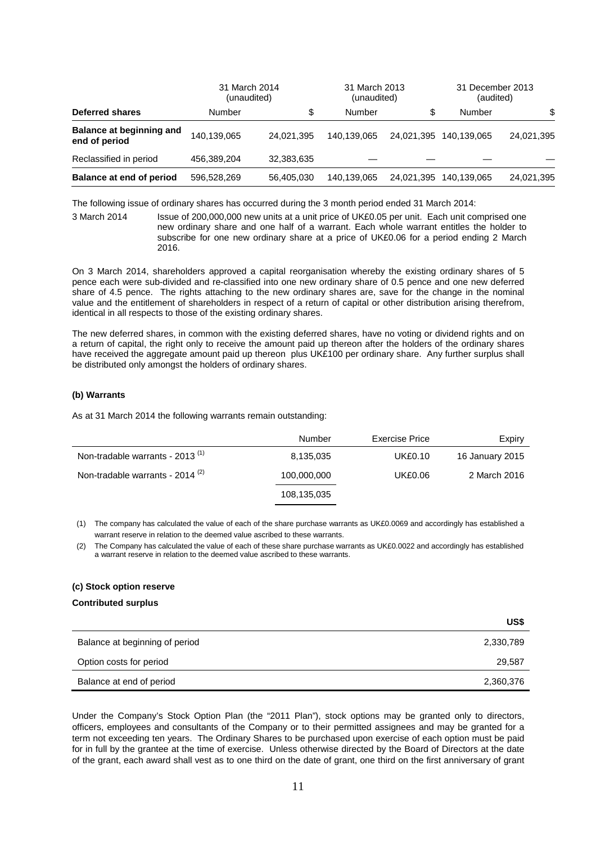|                                                  | 31 March 2014 | 31 March 2013<br>(unaudited)<br>(unaudited) |             |            | 31 December 2013<br>(audited) |            |
|--------------------------------------------------|---------------|---------------------------------------------|-------------|------------|-------------------------------|------------|
| <b>Deferred shares</b>                           | Number        |                                             | Number      | \$         | Number                        | \$         |
| <b>Balance at beginning and</b><br>end of period | 140.139.065   | 24.021.395                                  | 140.139.065 | 24.021.395 | 140.139.065                   | 24,021,395 |
| Reclassified in period                           | 456,389,204   | 32,383,635                                  |             |            |                               |            |
| Balance at end of period                         | 596,528,269   | 56,405,030                                  | 140.139.065 | 24.021.395 | 140.139.065                   | 24,021,395 |

The following issue of ordinary shares has occurred during the 3 month period ended 31 March 2014:

3 March 2014 Issue of 200,000,000 new units at a unit price of UK£0.05 per unit. Each unit comprised one new ordinary share and one half of a warrant. Each whole warrant entitles the holder to subscribe for one new ordinary share at a price of UK£0.06 for a period ending 2 March 2016.

On 3 March 2014, shareholders approved a capital reorganisation whereby the existing ordinary shares of 5 pence each were sub-divided and re-classified into one new ordinary share of 0.5 pence and one new deferred share of 4.5 pence. The rights attaching to the new ordinary shares are, save for the change in the nominal value and the entitlement of shareholders in respect of a return of capital or other distribution arising therefrom, identical in all respects to those of the existing ordinary shares.

The new deferred shares, in common with the existing deferred shares, have no voting or dividend rights and on a return of capital, the right only to receive the amount paid up thereon after the holders of the ordinary shares have received the aggregate amount paid up thereon plus UK£100 per ordinary share. Any further surplus shall be distributed only amongst the holders of ordinary shares.

# **(b) Warrants**

As at 31 March 2014 the following warrants remain outstanding:

|                                             | Number      | Exercise Price | Expiry          |
|---------------------------------------------|-------------|----------------|-----------------|
| Non-tradable warrants - 2013 <sup>(1)</sup> | 8,135,035   | <b>UK£0.10</b> | 16 January 2015 |
| Non-tradable warrants - $2014^{(2)}$        | 100,000,000 | UK£0.06        | 2 March 2016    |
|                                             | 108,135,035 |                |                 |

(1) The company has calculated the value of each of the share purchase warrants as UK£0.0069 and accordingly has established a warrant reserve in relation to the deemed value ascribed to these warrants.

(2) The Company has calculated the value of each of these share purchase warrants as UK£0.0022 and accordingly has established a warrant reserve in relation to the deemed value ascribed to these warrants.

#### **(c) Stock option reserve**

### **Contributed surplus**

|                                | US\$      |
|--------------------------------|-----------|
| Balance at beginning of period | 2,330,789 |
| Option costs for period        | 29,587    |
| Balance at end of period       | 2,360,376 |

Under the Company's Stock Option Plan (the "2011 Plan"), stock options may be granted only to directors, officers, employees and consultants of the Company or to their permitted assignees and may be granted for a term not exceeding ten years. The Ordinary Shares to be purchased upon exercise of each option must be paid for in full by the grantee at the time of exercise. Unless otherwise directed by the Board of Directors at the date of the grant, each award shall vest as to one third on the date of grant, one third on the first anniversary of grant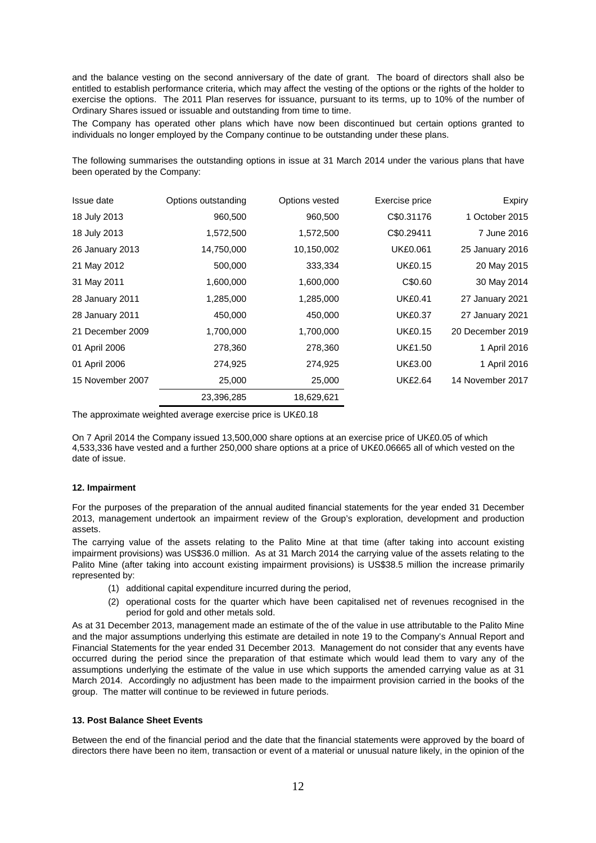and the balance vesting on the second anniversary of the date of grant. The board of directors shall also be entitled to establish performance criteria, which may affect the vesting of the options or the rights of the holder to exercise the options. The 2011 Plan reserves for issuance, pursuant to its terms, up to 10% of the number of Ordinary Shares issued or issuable and outstanding from time to time.

The Company has operated other plans which have now been discontinued but certain options granted to individuals no longer employed by the Company continue to be outstanding under these plans.

The following summarises the outstanding options in issue at 31 March 2014 under the various plans that have been operated by the Company:

| Issue date       | Options outstanding | Options vested | Exercise price  | Expiry           |
|------------------|---------------------|----------------|-----------------|------------------|
| 18 July 2013     | 960,500             | 960,500        | C\$0.31176      | 1 October 2015   |
| 18 July 2013     | 1,572,500           | 1,572,500      | C\$0.29411      | 7 June 2016      |
| 26 January 2013  | 14,750,000          | 10,150,002     | <b>UK£0.061</b> | 25 January 2016  |
| 21 May 2012      | 500,000             | 333,334        | <b>UK£0.15</b>  | 20 May 2015      |
| 31 May 2011      | 1,600,000           | 1,600,000      | C\$0.60         | 30 May 2014      |
| 28 January 2011  | 1,285,000           | 1,285,000      | <b>UK£0.41</b>  | 27 January 2021  |
| 28 January 2011  | 450,000             | 450,000        | <b>UK£0.37</b>  | 27 January 2021  |
| 21 December 2009 | 1,700,000           | 1,700,000      | <b>UK£0.15</b>  | 20 December 2019 |
| 01 April 2006    | 278,360             | 278,360        | <b>UK£1.50</b>  | 1 April 2016     |
| 01 April 2006    | 274,925             | 274,925        | <b>UK£3.00</b>  | 1 April 2016     |
| 15 November 2007 | 25,000              | 25,000         | <b>UK£2.64</b>  | 14 November 2017 |
|                  | 23,396,285          | 18,629,621     |                 |                  |

The approximate weighted average exercise price is UK£0.18

On 7 April 2014 the Company issued 13,500,000 share options at an exercise price of UK£0.05 of which 4,533,336 have vested and a further 250,000 share options at a price of UK£0.06665 all of which vested on the date of issue.

### **12. Impairment**

For the purposes of the preparation of the annual audited financial statements for the year ended 31 December 2013, management undertook an impairment review of the Group's exploration, development and production assets.

The carrying value of the assets relating to the Palito Mine at that time (after taking into account existing impairment provisions) was US\$36.0 million. As at 31 March 2014 the carrying value of the assets relating to the Palito Mine (after taking into account existing impairment provisions) is US\$38.5 million the increase primarily represented by:

- (1) additional capital expenditure incurred during the period,
- (2) operational costs for the quarter which have been capitalised net of revenues recognised in the period for gold and other metals sold.

As at 31 December 2013, management made an estimate of the of the value in use attributable to the Palito Mine and the major assumptions underlying this estimate are detailed in note 19 to the Company's Annual Report and Financial Statements for the year ended 31 December 2013. Management do not consider that any events have occurred during the period since the preparation of that estimate which would lead them to vary any of the assumptions underlying the estimate of the value in use which supports the amended carrying value as at 31 March 2014. Accordingly no adjustment has been made to the impairment provision carried in the books of the group. The matter will continue to be reviewed in future periods.

### **13. Post Balance Sheet Events**

Between the end of the financial period and the date that the financial statements were approved by the board of directors there have been no item, transaction or event of a material or unusual nature likely, in the opinion of the